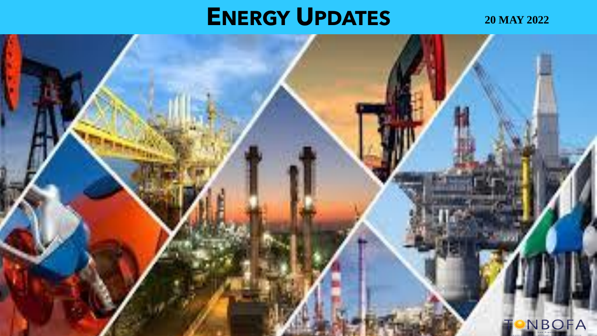# **ENERGY UPDATES 20 MAY 2022**

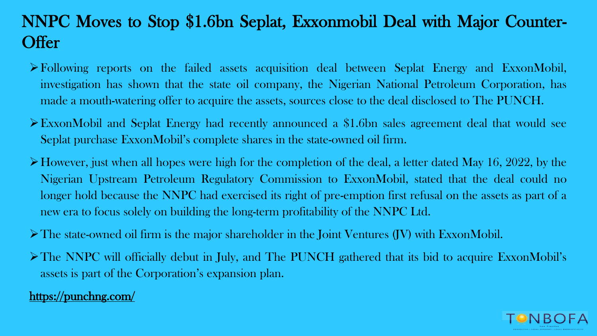## NNPC Moves to Stop \$1.6bn Seplat, Exxonmobil Deal with Major Counter-**Offer**

- ➢Following reports on the failed assets acquisition deal between Seplat Energy and ExxonMobil, investigation has shown that the state oil company, the Nigerian National Petroleum Corporation, has made a mouth-watering offer to acquire the assets, sources close to the deal disclosed to The PUNCH.
- ➢ExxonMobil and Seplat Energy had recently announced a \$1.6bn sales agreement deal that would see Seplat purchase ExxonMobil's complete shares in the state-owned oil firm.
- ➢However, just when all hopes were high for the completion of the deal, a letter dated May 16, 2022, by the Nigerian Upstream Petroleum Regulatory Commission to ExxonMobil, stated that the deal could no longer hold because the NNPC had exercised its right of pre-emption first refusal on the assets as part of a new era to focus solely on building the long-term profitability of the NNPC Ltd.
- ➢The state-owned oil firm is the major shareholder in the Joint Ventures (JV) with ExxonMobil.
- ➢The NNPC will officially debut in July, and The PUNCH gathered that its bid to acquire ExxonMobil's assets is part of the Corporation's expansion plan.

#### <https://punchng.com/>

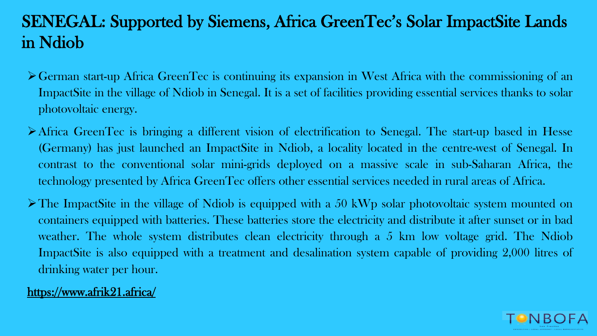## SENEGAL: Supported by Siemens, Africa GreenTec's Solar ImpactSite Lands in Ndiob

- ➢German start-up Africa GreenTec is continuing its expansion in West Africa with the commissioning of an ImpactSite in the village of Ndiob in Senegal. It is a set of facilities providing essential services thanks to solar photovoltaic energy.
- ➢Africa GreenTec is bringing a different vision of electrification to Senegal. The start-up based in Hesse (Germany) has just launched an ImpactSite in Ndiob, a locality located in the centre-west of Senegal. In contrast to the conventional solar mini-grids deployed on a massive scale in sub-Saharan Africa, the technology presented by Africa GreenTec offers other essential services needed in rural areas of Africa.
- $\triangleright$  The ImpactSite in the village of Ndiob is equipped with a 50 kWp solar photovoltaic system mounted on containers equipped with batteries. These batteries store the electricity and distribute it after sunset or in bad weather. The whole system distributes clean electricity through a 5 km low voltage grid. The Ndiob ImpactSite is also equipped with a treatment and desalination system capable of providing 2,000 litres of drinking water per hour.

#### <https://www.afrik21.africa/>

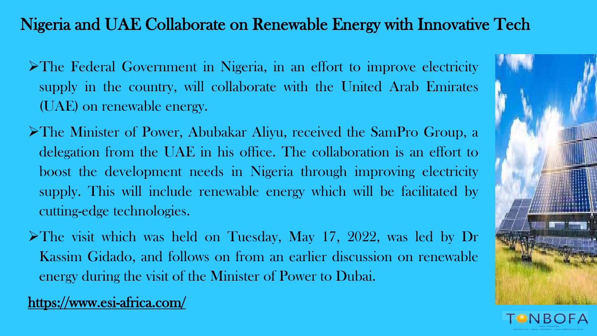#### Nigeria and UAE Collaborate on Renewable Energy with Innovative Tech

- ➢The Federal Government in Nigeria, in an effort to improve electricity supply in the country, will collaborate with the United Arab Emirates (UAE) on renewable energy.
- ➢The Minister of Power, Abubakar Aliyu, received the SamPro Group, a delegation from the UAE in his office. The collaboration is an effort to boost the development needs in Nigeria through improving electricity supply. This will include renewable energy which will be facilitated by cutting-edge technologies.
- ➢The visit which was held on Tuesday, May 17, 2022, was led by Dr Kassim Gidado, and follows on from an earlier discussion on renewable energy during the visit of the Minister of Power to Dubai.

<https://www.esi-africa.com/>



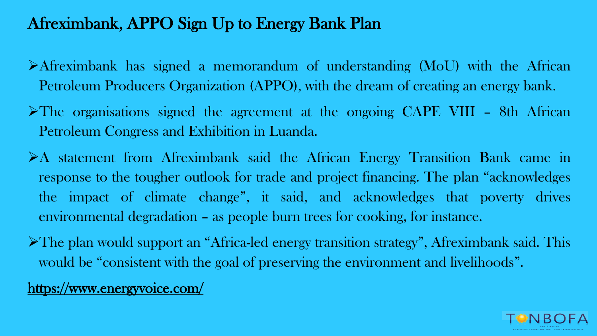#### Afreximbank, APPO Sign Up to Energy Bank Plan

- ➢Afreximbank has signed a memorandum of understanding (MoU) with the African Petroleum Producers Organization (APPO), with the dream of creating an energy bank.
- ➢The organisations signed the agreement at the ongoing CAPE VIII 8th African Petroleum Congress and Exhibition in Luanda.
- ➢A statement from Afreximbank said the African Energy Transition Bank came in response to the tougher outlook for trade and project financing. The plan "acknowledges the impact of climate change", it said, and acknowledges that poverty drives environmental degradation – as people burn trees for cooking, for instance.
- ➢The plan would support an "Africa-led energy transition strategy", Afreximbank said. This would be "consistent with the goal of preserving the environment and livelihoods".
- <https://www.energyvoice.com/>

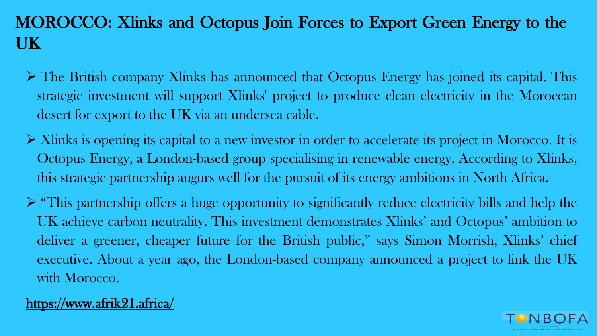## MOROCCO: Xlinks and Octopus Join Forces to Export Green Energy to the UK

- ➢ The British company Xlinks has announced that Octopus Energy has joined its capital. This strategic investment will support Xlinks' project to produce clean electricity in the Moroccan desert for export to the UK via an undersea cable.
- ➢ Xlinks is opening its capital to a new investor in order to accelerate its project in Morocco. It is Octopus Energy, a London-based group specialising in renewable energy. According to Xlinks, this strategic partnership augurs well for the pursuit of its energy ambitions in North Africa.
- ➢ "This partnership offers a huge opportunity to significantly reduce electricity bills and help the UK achieve carbon neutrality. This investment demonstrates Xlinks' and Octopus' ambition to deliver a greener, cheaper future for the British public," says Simon Morrish, Xlinks' chief executive. About a year ago, the London-based company announced a project to link the UK with Morocco.

#### <https://www.afrik21.africa/>

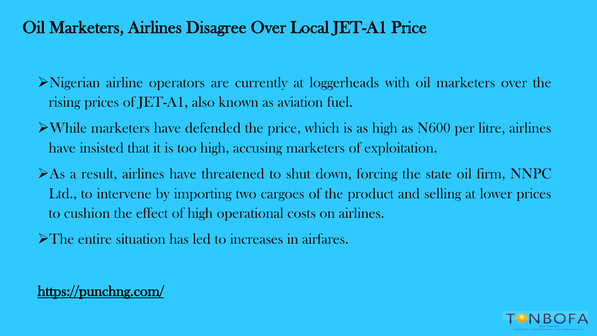## Oil Marketers, Airlines Disagree Over Local JET-A1 Price

- ➢Nigerian airline operators are currently at loggerheads with oil marketers over the rising prices of JET-A1, also known as aviation fuel.
- ➢While marketers have defended the price, which is as high as N600 per litre, airlines have insisted that it is too high, accusing marketers of exploitation.
- ➢As a result, airlines have threatened to shut down, forcing the state oil firm, NNPC Ltd., to intervene by importing two cargoes of the product and selling at lower prices to cushion the effect of high operational costs on airlines.
- ➢The entire situation has led to increases in airfares.



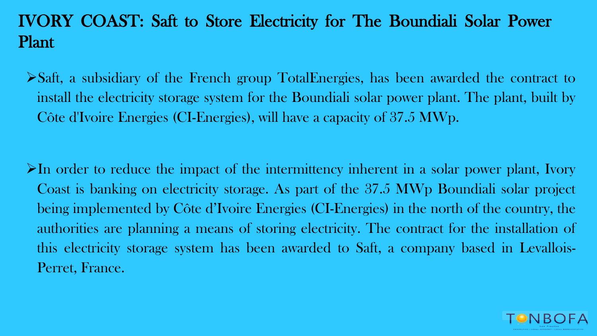## IVORY COAST: Saft to Store Electricity for The Boundiali Solar Power Plant

➢Saft, a subsidiary of the French group TotalEnergies, has been awarded the contract to install the electricity storage system for the Boundiali solar power plant. The plant, built by Côte d'Ivoire Energies (CI-Energies), will have a capacity of 37.5 MWp.

 $\triangleright$ In order to reduce the impact of the intermittency inherent in a solar power plant, Ivory Coast is banking on electricity storage. As part of the 37.5 MWp Boundiali solar project being implemented by Côte d'Ivoire Energies (CI-Energies) in the north of the country, the authorities are planning a means of storing electricity. The contract for the installation of this electricity storage system has been awarded to Saft, a company based in Levallois-Perret, France.

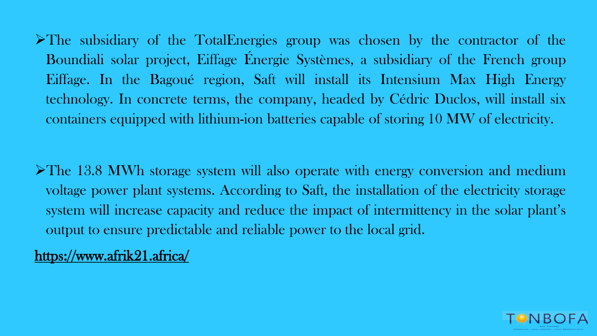➢The subsidiary of the TotalEnergies group was chosen by the contractor of the Boundiali solar project, Eiffage Énergie Systèmes, a subsidiary of the French group Eiffage. In the Bagoué region, Saft will install its Intensium Max High Energy technology. In concrete terms, the company, headed by Cédric Duclos, will install six containers equipped with lithium-ion batteries capable of storing 10 MW of electricity.

➢The 13.8 MWh storage system will also operate with energy conversion and medium voltage power plant systems. According to Saft, the installation of the electricity storage system will increase capacity and reduce the impact of intermittency in the solar plant's output to ensure predictable and reliable power to the local grid.

<https://www.afrik21.africa/>

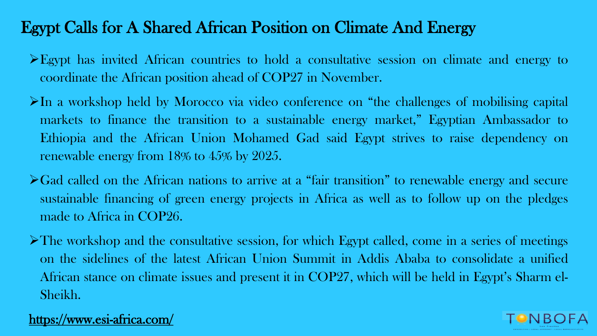#### Egypt Calls for A Shared African Position on Climate And Energy

- ➢Egypt has invited African countries to hold a consultative session on climate and energy to coordinate the African position ahead of COP27 in November.
- $\triangleright$ In a workshop held by Morocco via video conference on "the challenges of mobilising capital markets to finance the transition to a sustainable energy market," Egyptian Ambassador to Ethiopia and the African Union Mohamed Gad said Egypt strives to raise dependency on renewable energy from 18% to 45% by 2025.
- ➢Gad called on the African nations to arrive at a "fair transition" to renewable energy and secure sustainable financing of green energy projects in Africa as well as to follow up on the pledges made to Africa in COP26.
- $\triangleright$  The workshop and the consultative session, for which Egypt called, come in a series of meetings on the sidelines of the latest African Union Summit in Addis Ababa to consolidate a unified African stance on climate issues and present it in COP27, which will be held in Egypt's Sharm el-Sheikh.

#### <https://www.esi-africa.com/>